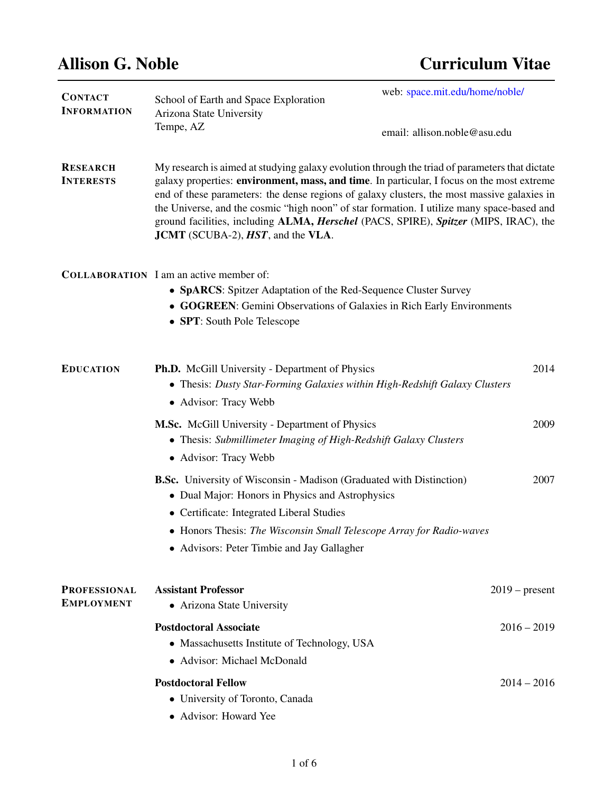| <b>CONTACT</b><br><b>INFORMATION</b>     | web: space.mit.edu/home/noble/<br>School of Earth and Space Exploration<br>Arizona State University                                                                                                                                                                                                                                                                                                                                                                                                                                            |                              |
|------------------------------------------|------------------------------------------------------------------------------------------------------------------------------------------------------------------------------------------------------------------------------------------------------------------------------------------------------------------------------------------------------------------------------------------------------------------------------------------------------------------------------------------------------------------------------------------------|------------------------------|
|                                          | Tempe, AZ                                                                                                                                                                                                                                                                                                                                                                                                                                                                                                                                      | email: allison.noble@asu.edu |
| <b>RESEARCH</b><br><b>INTERESTS</b>      | My research is aimed at studying galaxy evolution through the triad of parameters that dictate<br>galaxy properties: environment, mass, and time. In particular, I focus on the most extreme<br>end of these parameters: the dense regions of galaxy clusters, the most massive galaxies in<br>the Universe, and the cosmic "high noon" of star formation. I utilize many space-based and<br>ground facilities, including ALMA, <i>Herschel</i> (PACS, SPIRE), <i>Spitzer</i> (MIPS, IRAC), the<br><b>JCMT</b> (SCUBA-2), $HST$ , and the VLA. |                              |
|                                          | <b>COLLABORATION</b> I am an active member of:<br>• SpARCS: Spitzer Adaptation of the Red-Sequence Cluster Survey<br>• GOGREEN: Gemini Observations of Galaxies in Rich Early Environments<br>• SPT: South Pole Telescope                                                                                                                                                                                                                                                                                                                      |                              |
| <b>EDUCATION</b>                         | 2014<br>Ph.D. McGill University - Department of Physics<br>• Thesis: Dusty Star-Forming Galaxies within High-Redshift Galaxy Clusters<br>• Advisor: Tracy Webb                                                                                                                                                                                                                                                                                                                                                                                 |                              |
|                                          | M.Sc. McGill University - Department of Physics<br>• Thesis: Submillimeter Imaging of High-Redshift Galaxy Clusters<br>• Advisor: Tracy Webb                                                                                                                                                                                                                                                                                                                                                                                                   | 2009                         |
|                                          | B.Sc. University of Wisconsin - Madison (Graduated with Distinction)<br>• Dual Major: Honors in Physics and Astrophysics<br>• Certificate: Integrated Liberal Studies<br>• Honors Thesis: The Wisconsin Small Telescope Array for Radio-waves<br>• Advisors: Peter Timbie and Jay Gallagher                                                                                                                                                                                                                                                    | 2007                         |
| <b>PROFESSIONAL</b><br><b>EMPLOYMENT</b> | <b>Assistant Professor</b><br>• Arizona State University                                                                                                                                                                                                                                                                                                                                                                                                                                                                                       | $2019$ – present             |
|                                          | <b>Postdoctoral Associate</b><br>• Massachusetts Institute of Technology, USA<br>• Advisor: Michael McDonald                                                                                                                                                                                                                                                                                                                                                                                                                                   | $2016 - 2019$                |
|                                          | <b>Postdoctoral Fellow</b><br>• University of Toronto, Canada<br>• Advisor: Howard Yee                                                                                                                                                                                                                                                                                                                                                                                                                                                         | $2014 - 2016$                |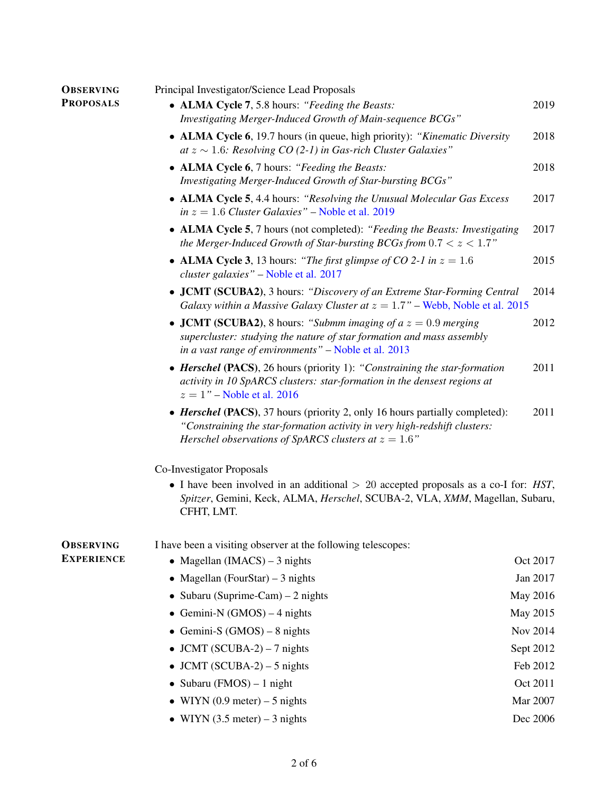| <b>OBSERVING</b>  | Principal Investigator/Science Lead Proposals                                                                                                                                                                        |           |  |
|-------------------|----------------------------------------------------------------------------------------------------------------------------------------------------------------------------------------------------------------------|-----------|--|
| <b>PROPOSALS</b>  | • ALMA Cycle 7, 5.8 hours: "Feeding the Beasts:<br>2019<br>Investigating Merger-Induced Growth of Main-sequence BCGs"                                                                                                |           |  |
|                   | • ALMA Cycle 6, 19.7 hours (in queue, high priority): "Kinematic Diversity<br>at $z \sim 1.6$ : Resolving CO (2-1) in Gas-rich Cluster Galaxies"                                                                     |           |  |
|                   | • ALMA Cycle 6, 7 hours: "Feeding the Beasts:<br>Investigating Merger-Induced Growth of Star-bursting BCGs"                                                                                                          | 2018      |  |
|                   | • ALMA Cycle 5, 4.4 hours: "Resolving the Unusual Molecular Gas Excess<br>in $z = 1.6$ Cluster Galaxies" – Noble et al. 2019                                                                                         | 2017      |  |
|                   | • ALMA Cycle 5, 7 hours (not completed): "Feeding the Beasts: Investigating<br>2017<br>the Merger-Induced Growth of Star-bursting BCGs from $0.7 < z < 1.7$ "                                                        |           |  |
|                   | • ALMA Cycle 3, 13 hours: "The first glimpse of CO 2-1 in $z = 1.6$<br>2015<br>cluster galaxies" – Noble et al. 2017                                                                                                 |           |  |
|                   | • JCMT (SCUBA2), 3 hours: "Discovery of an Extreme Star-Forming Central<br>Galaxy within a Massive Galaxy Cluster at $z = 1.7"$ – Webb, Noble et al. 2015                                                            |           |  |
|                   | • <b>JCMT</b> (SCUBA2), 8 hours: "Submm imaging of $a z = 0.9$ merging<br>2012<br>supercluster: studying the nature of star formation and mass assembly<br>in a vast range of environments" – Noble et al. 2013      |           |  |
|                   | • Herschel (PACS), 26 hours (priority 1): "Constraining the star-formation<br>activity in 10 SpARCS clusters: star-formation in the densest regions at<br>$z = 1"$ – Noble et al. 2016                               | 2011      |  |
|                   | • Herschel (PACS), 37 hours (priority 2, only 16 hours partially completed):<br>"Constraining the star-formation activity in very high-redshift clusters:<br>Herschel observations of SpARCS clusters at $z = 1.6$ " | 2011      |  |
|                   | Co-Investigator Proposals                                                                                                                                                                                            |           |  |
|                   | • I have been involved in an additional $> 20$ accepted proposals as a co-I for: <i>HST</i> ,<br>Spitzer, Gemini, Keck, ALMA, Herschel, SCUBA-2, VLA, XMM, Magellan, Subaru,<br>CFHT, LMT.                           |           |  |
| <b>OBSERVING</b>  | I have been a visiting observer at the following telescopes:                                                                                                                                                         |           |  |
| <b>EXPERIENCE</b> | • Magellan (IMACS) $-3$ nights                                                                                                                                                                                       | Oct 2017  |  |
|                   | • Magellan (FourStar) $-3$ nights                                                                                                                                                                                    | Jan 2017  |  |
|                   | • Subaru (Suprime-Cam) – 2 nights                                                                                                                                                                                    | May 2016  |  |
|                   | • Gemini-N $(GMOS) - 4$ nights                                                                                                                                                                                       | May 2015  |  |
|                   | • Gemini-S $(GMOS) - 8$ nights                                                                                                                                                                                       | Nov 2014  |  |
|                   | • JCMT (SCUBA-2) – 7 nights                                                                                                                                                                                          | Sept 2012 |  |
|                   | • JCMT (SCUBA-2) – 5 nights                                                                                                                                                                                          | Feb 2012  |  |
|                   | • Subaru (FMOS) – 1 night                                                                                                                                                                                            | Oct 2011  |  |
|                   | • WIYN $(0.9$ meter) – 5 nights                                                                                                                                                                                      | Mar 2007  |  |
|                   | • WIYN $(3.5 \text{ meter}) - 3 \text{ nights}$                                                                                                                                                                      | Dec 2006  |  |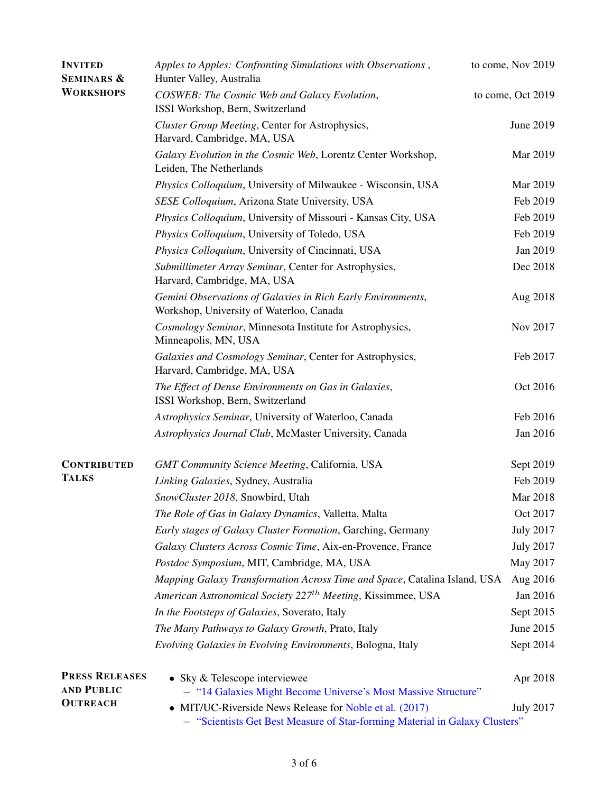| <b>INVITED</b><br><b>SEMINARS &amp;</b>    | Apples to Apples: Confronting Simulations with Observations,<br>Hunter Valley, Australia                                               | to come, Nov 2019 |
|--------------------------------------------|----------------------------------------------------------------------------------------------------------------------------------------|-------------------|
| <b>WORKSHOPS</b>                           | COSWEB: The Cosmic Web and Galaxy Evolution,<br>ISSI Workshop, Bern, Switzerland                                                       | to come, Oct 2019 |
|                                            | Cluster Group Meeting, Center for Astrophysics,<br>Harvard, Cambridge, MA, USA                                                         | June 2019         |
|                                            | Galaxy Evolution in the Cosmic Web, Lorentz Center Workshop,<br>Leiden, The Netherlands                                                | Mar 2019          |
|                                            | Physics Colloquium, University of Milwaukee - Wisconsin, USA                                                                           | Mar 2019          |
|                                            | SESE Colloquium, Arizona State University, USA                                                                                         | Feb 2019          |
|                                            | Physics Colloquium, University of Missouri - Kansas City, USA                                                                          | Feb 2019          |
|                                            | Physics Colloquium, University of Toledo, USA                                                                                          | Feb 2019          |
|                                            | Physics Colloquium, University of Cincinnati, USA                                                                                      | Jan 2019          |
|                                            | Submillimeter Array Seminar, Center for Astrophysics,<br>Harvard, Cambridge, MA, USA                                                   | Dec 2018          |
|                                            | Gemini Observations of Galaxies in Rich Early Environments,<br>Workshop, University of Waterloo, Canada                                | Aug 2018          |
|                                            | Cosmology Seminar, Minnesota Institute for Astrophysics,<br>Minneapolis, MN, USA                                                       | Nov 2017          |
|                                            | Galaxies and Cosmology Seminar, Center for Astrophysics,<br>Harvard, Cambridge, MA, USA                                                | Feb 2017          |
|                                            | The Effect of Dense Environments on Gas in Galaxies,<br>ISSI Workshop, Bern, Switzerland                                               | Oct 2016          |
|                                            | Astrophysics Seminar, University of Waterloo, Canada                                                                                   | Feb 2016          |
|                                            | Astrophysics Journal Club, McMaster University, Canada                                                                                 | Jan 2016          |
| <b>CONTRIBUTED</b>                         | <b>GMT Community Science Meeting, California, USA</b>                                                                                  | Sept 2019         |
| <b>TALKS</b>                               | Linking Galaxies, Sydney, Australia                                                                                                    | Feb 2019          |
|                                            | SnowCluster 2018, Snowbird, Utah                                                                                                       | Mar 2018          |
|                                            | The Role of Gas in Galaxy Dynamics, Valletta, Malta                                                                                    | Oct 2017          |
|                                            | Early stages of Galaxy Cluster Formation, Garching, Germany                                                                            | <b>July 2017</b>  |
|                                            | Galaxy Clusters Across Cosmic Time, Aix-en-Provence, France                                                                            | <b>July 2017</b>  |
|                                            | Postdoc Symposium, MIT, Cambridge, MA, USA                                                                                             | May 2017          |
|                                            | Mapping Galaxy Transformation Across Time and Space, Catalina Island, USA                                                              | Aug 2016          |
|                                            | American Astronomical Society 227 <sup>th</sup> Meeting, Kissimmee, USA                                                                | Jan 2016          |
|                                            | In the Footsteps of Galaxies, Soverato, Italy                                                                                          | Sept 2015         |
|                                            | The Many Pathways to Galaxy Growth, Prato, Italy                                                                                       | June 2015         |
|                                            | Evolving Galaxies in Evolving Environments, Bologna, Italy                                                                             | Sept 2014         |
| <b>PRESS RELEASES</b><br><b>AND PUBLIC</b> | • Sky $&$ Telescope interviewee<br>- "14 Galaxies Might Become Universe's Most Massive Structure"                                      | Apr 2018          |
| <b>OUTREACH</b>                            | • MIT/UC-Riverside News Release for Noble et al. (2017)<br>- "Scientists Get Best Measure of Star-forming Material in Galaxy Clusters" | <b>July 2017</b>  |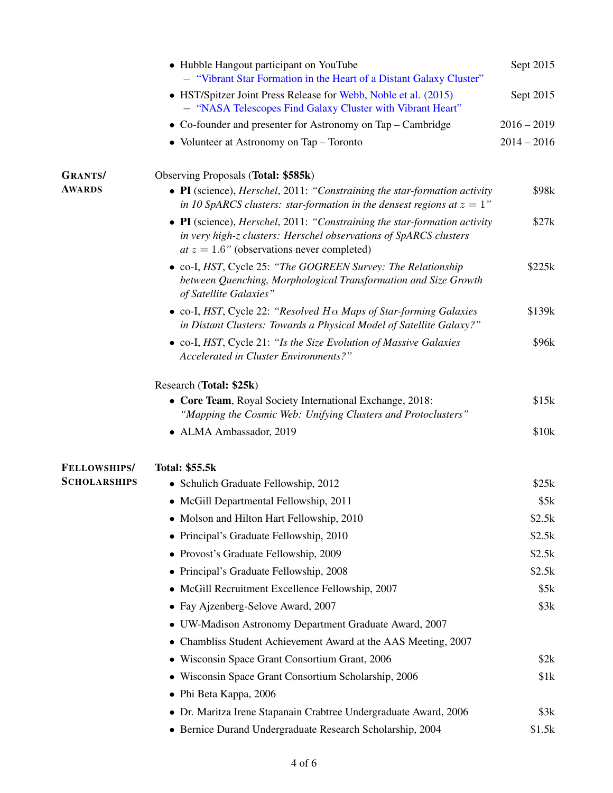|                     | • Hubble Hangout participant on YouTube<br>- "Vibrant Star Formation in the Heart of a Distant Galaxy Cluster"                                                                                  | Sept 2015     |
|---------------------|-------------------------------------------------------------------------------------------------------------------------------------------------------------------------------------------------|---------------|
|                     | • HST/Spitzer Joint Press Release for Webb, Noble et al. (2015)<br>- "NASA Telescopes Find Galaxy Cluster with Vibrant Heart"                                                                   | Sept 2015     |
|                     | • Co-founder and presenter for Astronomy on Tap - Cambridge                                                                                                                                     | $2016 - 2019$ |
|                     | • Volunteer at Astronomy on Tap – Toronto                                                                                                                                                       | $2014 - 2016$ |
| <b>GRANTS</b>       | Observing Proposals (Total: \$585k)                                                                                                                                                             |               |
| <b>AWARDS</b>       | • PI (science), Herschel, 2011: "Constraining the star-formation activity<br>in 10 SpARCS clusters: star-formation in the densest regions at $z = 1$ "                                          | \$98k         |
|                     | • PI (science), Herschel, 2011: "Constraining the star-formation activity<br>in very high-z clusters: Herschel observations of SpARCS clusters<br>at $z = 1.6$ " (observations never completed) | \$27k         |
|                     | • co-I, HST, Cycle 25: "The GOGREEN Survey: The Relationship<br>between Quenching, Morphological Transformation and Size Growth<br>of Satellite Galaxies"                                       | \$225k        |
|                     | • co-I, HST, Cycle 22: "Resolved $H\alpha$ Maps of Star-forming Galaxies<br>in Distant Clusters: Towards a Physical Model of Satellite Galaxy?"                                                 | \$139k        |
|                     | • co-I, HST, Cycle 21: "Is the Size Evolution of Massive Galaxies<br>Accelerated in Cluster Environments?"                                                                                      | \$96k         |
|                     | Research (Total: \$25k)                                                                                                                                                                         |               |
|                     | • Core Team, Royal Society International Exchange, 2018:<br>"Mapping the Cosmic Web: Unifying Clusters and Protoclusters"                                                                       | \$15k         |
|                     | • ALMA Ambassador, 2019                                                                                                                                                                         | \$10k         |
| FELLOWSHIPS/        | <b>Total: \$55.5k</b>                                                                                                                                                                           |               |
| <b>SCHOLARSHIPS</b> | • Schulich Graduate Fellowship, 2012                                                                                                                                                            | \$25k         |
|                     | • McGill Departmental Fellowship, 2011                                                                                                                                                          | \$5k          |
|                     | • Molson and Hilton Hart Fellowship, 2010                                                                                                                                                       | \$2.5k        |
|                     | • Principal's Graduate Fellowship, 2010                                                                                                                                                         | \$2.5k        |
|                     | • Provost's Graduate Fellowship, 2009                                                                                                                                                           | \$2.5k        |
|                     | • Principal's Graduate Fellowship, 2008                                                                                                                                                         | \$2.5k        |
|                     | • McGill Recruitment Excellence Fellowship, 2007                                                                                                                                                | \$5k          |
|                     | • Fay Ajzenberg-Selove Award, 2007                                                                                                                                                              | \$3k          |
|                     | • UW-Madison Astronomy Department Graduate Award, 2007                                                                                                                                          |               |
|                     | • Chambliss Student Achievement Award at the AAS Meeting, 2007                                                                                                                                  |               |
|                     | • Wisconsin Space Grant Consortium Grant, 2006                                                                                                                                                  | \$2k          |
|                     | • Wisconsin Space Grant Consortium Scholarship, 2006                                                                                                                                            | \$1k          |
|                     | • Phi Beta Kappa, 2006                                                                                                                                                                          |               |
|                     | • Dr. Maritza Irene Stapanain Crabtree Undergraduate Award, 2006                                                                                                                                | \$3k          |
|                     | • Bernice Durand Undergraduate Research Scholarship, 2004                                                                                                                                       | \$1.5k        |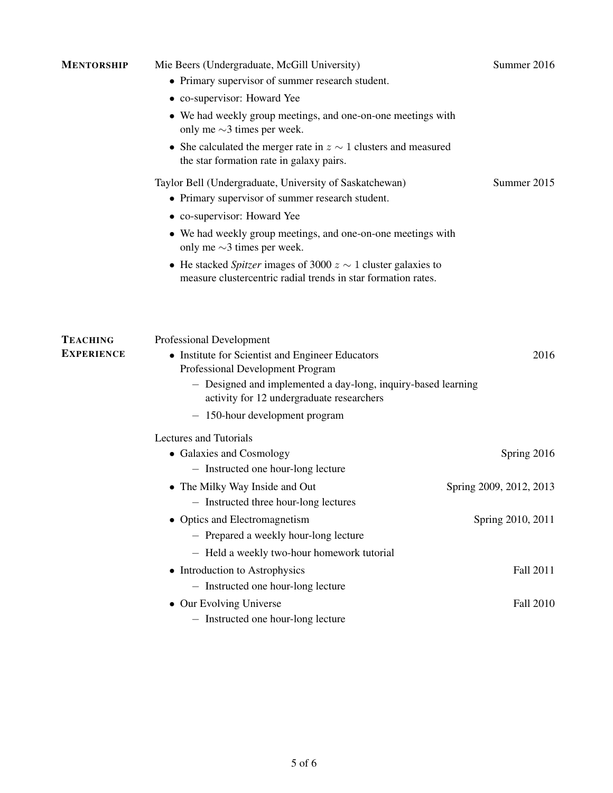| <b>MENTORSHIP</b> | Mie Beers (Undergraduate, McGill University)<br>• Primary supervisor of summer research student.                                           | Summer 2016             |  |
|-------------------|--------------------------------------------------------------------------------------------------------------------------------------------|-------------------------|--|
|                   | • co-supervisor: Howard Yee                                                                                                                |                         |  |
|                   | • We had weekly group meetings, and one-on-one meetings with<br>only me $\sim$ 3 times per week.                                           |                         |  |
|                   | • She calculated the merger rate in $z \sim 1$ clusters and measured<br>the star formation rate in galaxy pairs.                           |                         |  |
|                   | Taylor Bell (Undergraduate, University of Saskatchewan)<br>• Primary supervisor of summer research student.<br>• co-supervisor: Howard Yee | Summer 2015             |  |
|                   | • We had weekly group meetings, and one-on-one meetings with<br>only me $\sim$ 3 times per week.                                           |                         |  |
|                   | • He stacked <i>Spitzer</i> images of 3000 $z \sim 1$ cluster galaxies to<br>measure clustercentric radial trends in star formation rates. |                         |  |
|                   |                                                                                                                                            |                         |  |
| <b>TEACHING</b>   | <b>Professional Development</b>                                                                                                            |                         |  |
| <b>EXPERIENCE</b> | • Institute for Scientist and Engineer Educators<br>Professional Development Program                                                       | 2016                    |  |
|                   | - Designed and implemented a day-long, inquiry-based learning<br>activity for 12 undergraduate researchers                                 |                         |  |
|                   | - 150-hour development program                                                                                                             |                         |  |
|                   | Lectures and Tutorials                                                                                                                     |                         |  |
|                   | • Galaxies and Cosmology                                                                                                                   | Spring 2016             |  |
|                   | - Instructed one hour-long lecture                                                                                                         |                         |  |
|                   | • The Milky Way Inside and Out<br>- Instructed three hour-long lectures                                                                    | Spring 2009, 2012, 2013 |  |
|                   | • Optics and Electromagnetism<br>- Prepared a weekly hour-long lecture                                                                     | Spring 2010, 2011       |  |
|                   | - Held a weekly two-hour homework tutorial                                                                                                 |                         |  |
|                   | • Introduction to Astrophysics<br>- Instructed one hour-long lecture                                                                       | Fall 2011               |  |
|                   | • Our Evolving Universe<br>- Instructed one hour-long lecture                                                                              | Fall 2010               |  |